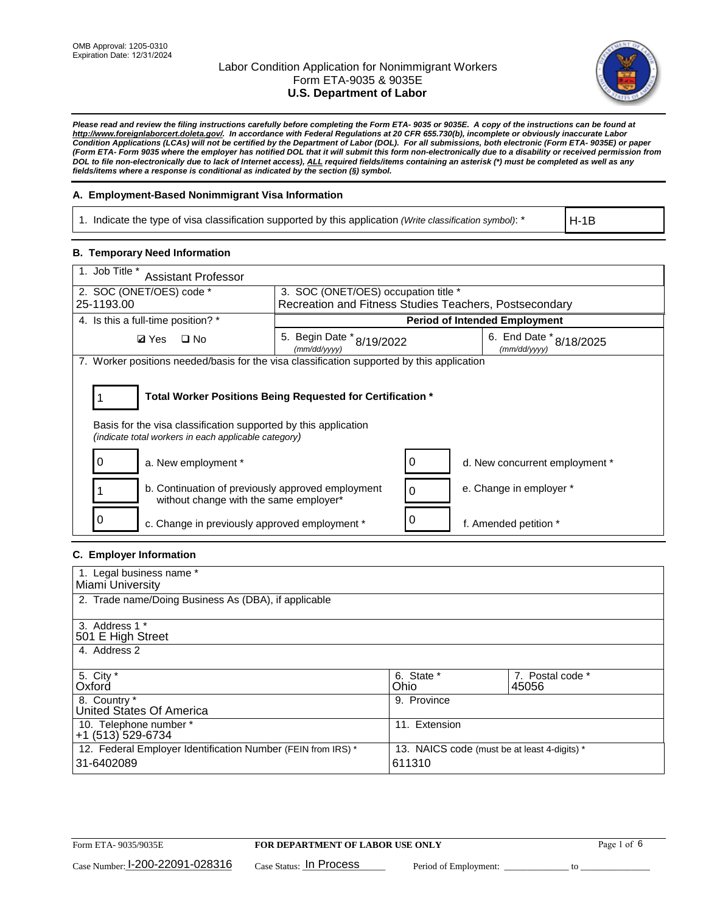

*Please read and review the filing instructions carefully before completing the Form ETA- 9035 or 9035E. A copy of the instructions can be found at [http://www.foreignlaborcert.doleta.gov/.](http://www.foreignlaborcert.doleta.gov/) In accordance with Federal Regulations at 20 CFR 655.730(b), incomplete or obviously inaccurate Labor Condition Applications (LCAs) will not be certified by the Department of Labor (DOL). For all submissions, both electronic (Form ETA- 9035E) or paper (Form ETA- Form 9035 where the employer has notified DOL that it will submit this form non-electronically due to a disability or received permission from DOL to file non-electronically due to lack of Internet access), ALL required fields/items containing an asterisk (\*) must be completed as well as any fields/items where a response is conditional as indicated by the section (§) symbol.* 

## **A. Employment-Based Nonimmigrant Visa Information**

1. Indicate the type of visa classification supported by this application *(Write classification symbol)*: \*

H-1B

#### **B. Temporary Need Information**

| 1. Job Title *<br><b>Assistant Professor</b>                                                                                                                                          |                                                        |                                         |  |  |
|---------------------------------------------------------------------------------------------------------------------------------------------------------------------------------------|--------------------------------------------------------|-----------------------------------------|--|--|
| 2. SOC (ONET/OES) code *                                                                                                                                                              | 3. SOC (ONET/OES) occupation title *                   |                                         |  |  |
| 25-1193.00                                                                                                                                                                            | Recreation and Fitness Studies Teachers, Postsecondary |                                         |  |  |
| 4. Is this a full-time position? *                                                                                                                                                    |                                                        | <b>Period of Intended Employment</b>    |  |  |
| $\Box$ No<br><b>Ø</b> Yes                                                                                                                                                             | 5. Begin Date $*_{8/19/2022}$<br>(mm/dd/yyyy)          | 6. End Date * 8/18/2025<br>(mm/dd/yyyy) |  |  |
| 7. Worker positions needed/basis for the visa classification supported by this application                                                                                            |                                                        |                                         |  |  |
| Total Worker Positions Being Requested for Certification *<br>Basis for the visa classification supported by this application<br>(indicate total workers in each applicable category) |                                                        |                                         |  |  |
| a. New employment *                                                                                                                                                                   |                                                        | d. New concurrent employment *          |  |  |
| b. Continuation of previously approved employment<br>without change with the same employer*                                                                                           | 0                                                      | e. Change in employer *                 |  |  |
| c. Change in previously approved employment *                                                                                                                                         |                                                        | f. Amended petition *                   |  |  |

## **C. Employer Information**

| 1. Legal business name *                                     |                                              |                  |
|--------------------------------------------------------------|----------------------------------------------|------------------|
| Miami University                                             |                                              |                  |
| 2. Trade name/Doing Business As (DBA), if applicable         |                                              |                  |
|                                                              |                                              |                  |
| 3. Address 1 *                                               |                                              |                  |
| 501 E High Street                                            |                                              |                  |
| 4. Address 2                                                 |                                              |                  |
|                                                              |                                              |                  |
| 5. City *                                                    | 6. State *                                   | 7. Postal code * |
| Oxford                                                       | Ohio                                         | 45056            |
| 8. Country *                                                 | 9. Province                                  |                  |
| United States Of America                                     |                                              |                  |
| 10. Telephone number *                                       | 11. Extension                                |                  |
| +1 (513) 529-6734                                            |                                              |                  |
| 12. Federal Employer Identification Number (FEIN from IRS) * | 13. NAICS code (must be at least 4-digits) * |                  |
| 31-6402089                                                   | 611310                                       |                  |
|                                                              |                                              |                  |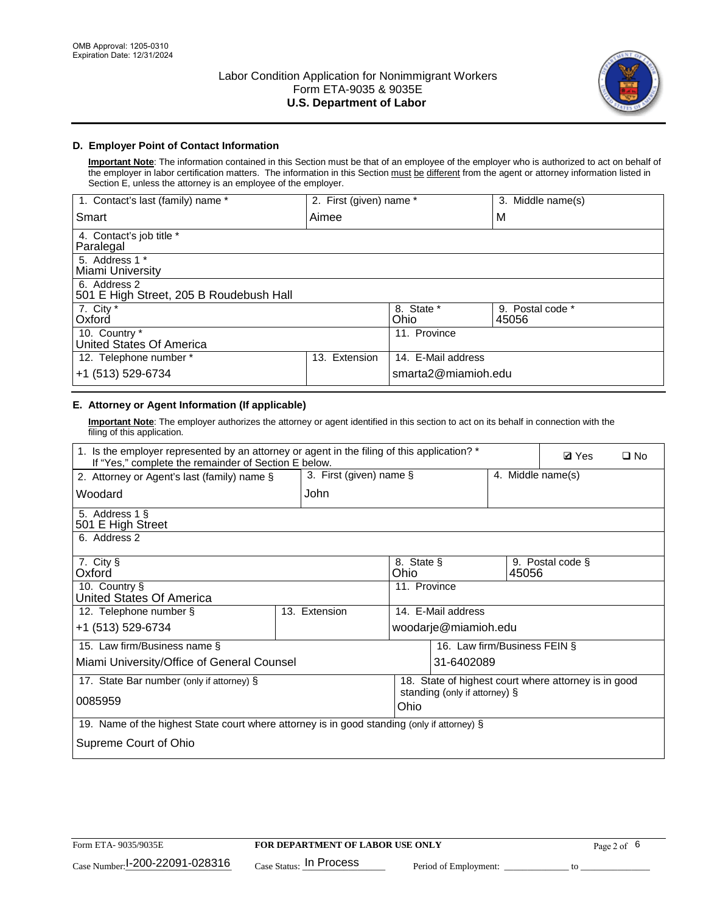

## **D. Employer Point of Contact Information**

**Important Note**: The information contained in this Section must be that of an employee of the employer who is authorized to act on behalf of the employer in labor certification matters. The information in this Section must be different from the agent or attorney information listed in Section E, unless the attorney is an employee of the employer.

| 1. Contact's last (family) name *                       | 2. First (given) name * |                     | 3. Middle name(s)         |
|---------------------------------------------------------|-------------------------|---------------------|---------------------------|
| Smart                                                   | Aimee                   |                     | M                         |
| 4. Contact's job title *<br>Paralegal                   |                         |                     |                           |
| 5. Address 1 *<br>Miami University                      |                         |                     |                           |
| 6. Address 2<br>501 E High Street, 205 B Roudebush Hall |                         |                     |                           |
| 7. City *<br>Oxford                                     |                         | 8. State *<br>Ohio  | 9. Postal code *<br>45056 |
| 10. Country *<br>United States Of America               |                         | 11. Province        |                           |
| 12. Telephone number *                                  | Extension<br>13.        | 14. E-Mail address  |                           |
| +1 (513) 529-6734                                       |                         | smarta2@miamioh.edu |                           |

## **E. Attorney or Agent Information (If applicable)**

**Important Note**: The employer authorizes the attorney or agent identified in this section to act on its behalf in connection with the filing of this application.

| 1. Is the employer represented by an attorney or agent in the filing of this application? *<br>If "Yes," complete the remainder of Section E below. |                         |                    |                                                      |       | <b>Ø</b> Yes      | $\Box$ No |
|-----------------------------------------------------------------------------------------------------------------------------------------------------|-------------------------|--------------------|------------------------------------------------------|-------|-------------------|-----------|
| 2. Attorney or Agent's last (family) name §                                                                                                         | 3. First (given) name § |                    |                                                      |       | 4. Middle name(s) |           |
| Woodard                                                                                                                                             | John                    |                    |                                                      |       |                   |           |
| 5. Address 1 §<br>501 E High Street                                                                                                                 |                         |                    |                                                      |       |                   |           |
| 6. Address 2                                                                                                                                        |                         |                    |                                                      |       |                   |           |
| 7. City §<br>Oxford                                                                                                                                 |                         | 8. State §<br>Ohio |                                                      | 45056 | 9. Postal code §  |           |
| 10. Country §<br>United States Of America                                                                                                           |                         | 11. Province       |                                                      |       |                   |           |
| 12. Telephone number §                                                                                                                              | 13. Extension           |                    | 14. E-Mail address                                   |       |                   |           |
| +1 (513) 529-6734                                                                                                                                   |                         |                    | woodarje@miamioh.edu                                 |       |                   |           |
| 15. Law firm/Business name §                                                                                                                        |                         |                    | 16. Law firm/Business FEIN §                         |       |                   |           |
| Miami University/Office of General Counsel                                                                                                          |                         |                    | 31-6402089                                           |       |                   |           |
| 17. State Bar number (only if attorney) §                                                                                                           |                         |                    | 18. State of highest court where attorney is in good |       |                   |           |
| 0085959                                                                                                                                             |                         | Ohio               | standing (only if attorney) §                        |       |                   |           |
| 19. Name of the highest State court where attorney is in good standing (only if attorney) §                                                         |                         |                    |                                                      |       |                   |           |
| Supreme Court of Ohio                                                                                                                               |                         |                    |                                                      |       |                   |           |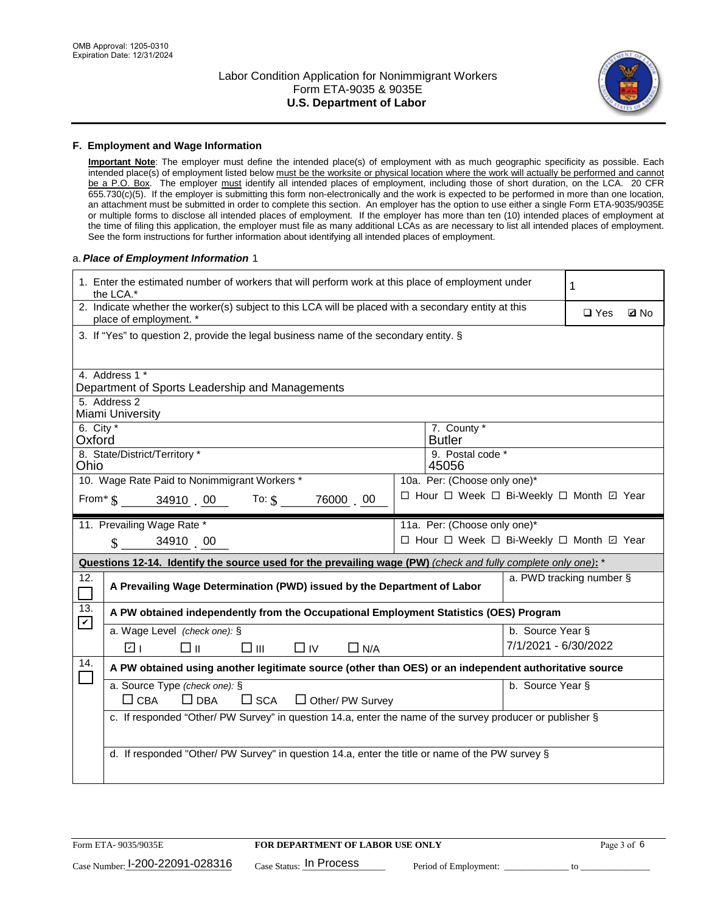

#### **F. Employment and Wage Information**

**Important Note**: The employer must define the intended place(s) of employment with as much geographic specificity as possible. Each intended place(s) of employment listed below must be the worksite or physical location where the work will actually be performed and cannot be a P.O. Box. The employer must identify all intended places of employment, including those of short duration, on the LCA. 20 CFR 655.730(c)(5). If the employer is submitting this form non-electronically and the work is expected to be performed in more than one location, an attachment must be submitted in order to complete this section. An employer has the option to use either a single Form ETA-9035/9035E or multiple forms to disclose all intended places of employment. If the employer has more than ten (10) intended places of employment at the time of filing this application, the employer must file as many additional LCAs as are necessary to list all intended places of employment. See the form instructions for further information about identifying all intended places of employment.

#### a.*Place of Employment Information* 1

| 1. Enter the estimated number of workers that will perform work at this place of employment under<br>the LCA.* |                                                                                                                                |  |                                          | 1                        |  |             |  |
|----------------------------------------------------------------------------------------------------------------|--------------------------------------------------------------------------------------------------------------------------------|--|------------------------------------------|--------------------------|--|-------------|--|
|                                                                                                                | 2. Indicate whether the worker(s) subject to this LCA will be placed with a secondary entity at this<br>place of employment. * |  |                                          |                          |  | <b>Z</b> No |  |
|                                                                                                                | 3. If "Yes" to question 2, provide the legal business name of the secondary entity. §                                          |  |                                          |                          |  |             |  |
|                                                                                                                | 4. Address 1 *<br>Department of Sports Leadership and Managements                                                              |  |                                          |                          |  |             |  |
|                                                                                                                | 5. Address 2<br>Miami University                                                                                               |  |                                          |                          |  |             |  |
| 6. City $*$<br>Oxford                                                                                          |                                                                                                                                |  | 7. County *<br><b>Butler</b>             |                          |  |             |  |
| Ohio                                                                                                           | 8. State/District/Territory *                                                                                                  |  | 9. Postal code *<br>45056                |                          |  |             |  |
|                                                                                                                | 10. Wage Rate Paid to Nonimmigrant Workers *                                                                                   |  | 10a. Per: (Choose only one)*             |                          |  |             |  |
|                                                                                                                | From $\frac{1}{3}$ 34910 00 To: $\frac{1}{3}$<br>76000 00                                                                      |  | □ Hour □ Week □ Bi-Weekly □ Month ☑ Year |                          |  |             |  |
|                                                                                                                | 11. Prevailing Wage Rate *                                                                                                     |  | 11a. Per: (Choose only one)*             |                          |  |             |  |
|                                                                                                                | $\sin 34910$ 00                                                                                                                |  | □ Hour □ Week □ Bi-Weekly □ Month ☑ Year |                          |  |             |  |
|                                                                                                                | Questions 12-14. Identify the source used for the prevailing wage (PW) (check and fully complete only one): *                  |  |                                          |                          |  |             |  |
| 12.<br>$\mathcal{L}_{\mathcal{A}}$                                                                             | A Prevailing Wage Determination (PWD) issued by the Department of Labor                                                        |  |                                          | a. PWD tracking number § |  |             |  |
| 13.<br>$\mathbf v$                                                                                             | A PW obtained independently from the Occupational Employment Statistics (OES) Program                                          |  |                                          |                          |  |             |  |
|                                                                                                                | a. Wage Level (check one): §                                                                                                   |  |                                          | b. Source Year §         |  |             |  |
|                                                                                                                | ☑ ⊧<br>□⊪<br>$\square$ $\square$<br>$\Box$ IV<br>$\Box$ N/A                                                                    |  |                                          | 7/1/2021 - 6/30/2022     |  |             |  |
| 14.                                                                                                            | A PW obtained using another legitimate source (other than OES) or an independent authoritative source                          |  |                                          |                          |  |             |  |
|                                                                                                                | a. Source Type (check one): §<br>$\Box$ CBA<br>$\Box$ DBA<br>$\square$ SCA<br>$\Box$ Other/ PW Survey                          |  |                                          | b. Source Year §         |  |             |  |
|                                                                                                                | c. If responded "Other/ PW Survey" in question 14.a, enter the name of the survey producer or publisher §                      |  |                                          |                          |  |             |  |
|                                                                                                                |                                                                                                                                |  |                                          |                          |  |             |  |
|                                                                                                                | d. If responded "Other/ PW Survey" in question 14.a, enter the title or name of the PW survey §                                |  |                                          |                          |  |             |  |
|                                                                                                                |                                                                                                                                |  |                                          |                          |  |             |  |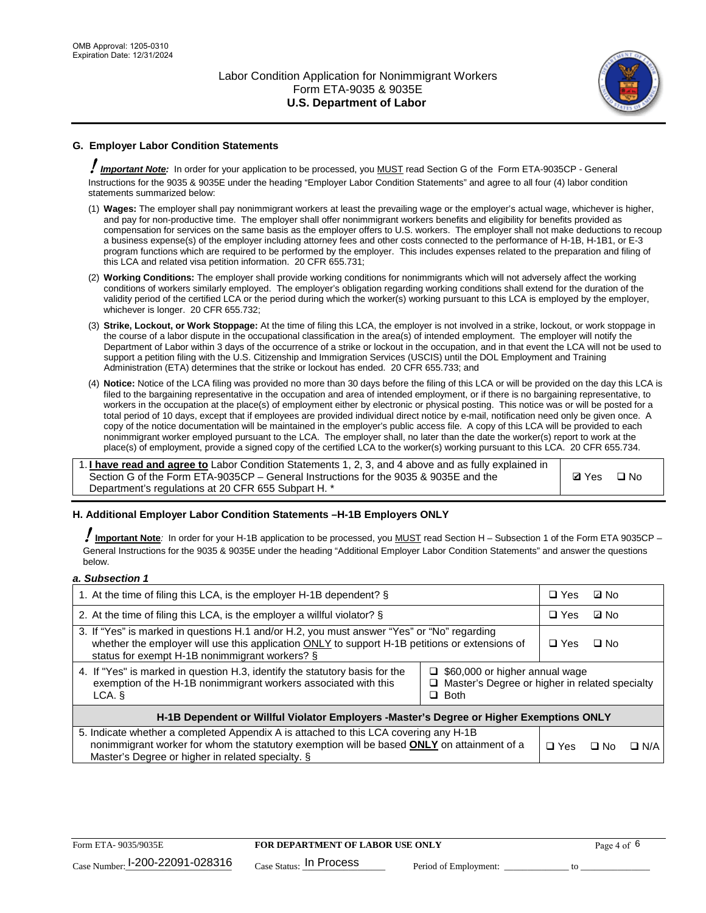

## **G. Employer Labor Condition Statements**

! *Important Note:* In order for your application to be processed, you MUST read Section G of the Form ETA-9035CP - General Instructions for the 9035 & 9035E under the heading "Employer Labor Condition Statements" and agree to all four (4) labor condition statements summarized below:

- (1) **Wages:** The employer shall pay nonimmigrant workers at least the prevailing wage or the employer's actual wage, whichever is higher, and pay for non-productive time. The employer shall offer nonimmigrant workers benefits and eligibility for benefits provided as compensation for services on the same basis as the employer offers to U.S. workers. The employer shall not make deductions to recoup a business expense(s) of the employer including attorney fees and other costs connected to the performance of H-1B, H-1B1, or E-3 program functions which are required to be performed by the employer. This includes expenses related to the preparation and filing of this LCA and related visa petition information. 20 CFR 655.731;
- (2) **Working Conditions:** The employer shall provide working conditions for nonimmigrants which will not adversely affect the working conditions of workers similarly employed. The employer's obligation regarding working conditions shall extend for the duration of the validity period of the certified LCA or the period during which the worker(s) working pursuant to this LCA is employed by the employer, whichever is longer. 20 CFR 655.732;
- (3) **Strike, Lockout, or Work Stoppage:** At the time of filing this LCA, the employer is not involved in a strike, lockout, or work stoppage in the course of a labor dispute in the occupational classification in the area(s) of intended employment. The employer will notify the Department of Labor within 3 days of the occurrence of a strike or lockout in the occupation, and in that event the LCA will not be used to support a petition filing with the U.S. Citizenship and Immigration Services (USCIS) until the DOL Employment and Training Administration (ETA) determines that the strike or lockout has ended. 20 CFR 655.733; and
- (4) **Notice:** Notice of the LCA filing was provided no more than 30 days before the filing of this LCA or will be provided on the day this LCA is filed to the bargaining representative in the occupation and area of intended employment, or if there is no bargaining representative, to workers in the occupation at the place(s) of employment either by electronic or physical posting. This notice was or will be posted for a total period of 10 days, except that if employees are provided individual direct notice by e-mail, notification need only be given once. A copy of the notice documentation will be maintained in the employer's public access file. A copy of this LCA will be provided to each nonimmigrant worker employed pursuant to the LCA. The employer shall, no later than the date the worker(s) report to work at the place(s) of employment, provide a signed copy of the certified LCA to the worker(s) working pursuant to this LCA. 20 CFR 655.734.

1. **I have read and agree to** Labor Condition Statements 1, 2, 3, and 4 above and as fully explained in Section G of the Form ETA-9035CP – General Instructions for the 9035 & 9035E and the Department's regulations at 20 CFR 655 Subpart H. \*

**Ø**Yes ロNo

#### **H. Additional Employer Labor Condition Statements –H-1B Employers ONLY**

!**Important Note***:* In order for your H-1B application to be processed, you MUST read Section H – Subsection 1 of the Form ETA 9035CP – General Instructions for the 9035 & 9035E under the heading "Additional Employer Labor Condition Statements" and answer the questions below.

#### *a. Subsection 1*

| 1. At the time of filing this LCA, is the employer H-1B dependent? §                                                                                                                                                                                                    |  |            | ⊡ No      |            |
|-------------------------------------------------------------------------------------------------------------------------------------------------------------------------------------------------------------------------------------------------------------------------|--|------------|-----------|------------|
| 2. At the time of filing this LCA, is the employer a willful violator? $\S$                                                                                                                                                                                             |  |            | ⊡ No      |            |
| 3. If "Yes" is marked in questions H.1 and/or H.2, you must answer "Yes" or "No" regarding<br>whether the employer will use this application ONLY to support H-1B petitions or extensions of<br>status for exempt H-1B nonimmigrant workers? §                          |  |            | $\Box$ No |            |
| 4. If "Yes" is marked in question H.3, identify the statutory basis for the<br>$\Box$ \$60,000 or higher annual wage<br>exemption of the H-1B nonimmigrant workers associated with this<br>$\Box$ Master's Degree or higher in related specialty<br>$\Box$ Both<br>LCA. |  |            |           |            |
| H-1B Dependent or Willful Violator Employers -Master's Degree or Higher Exemptions ONLY                                                                                                                                                                                 |  |            |           |            |
| 5. Indicate whether a completed Appendix A is attached to this LCA covering any H-1B<br>nonimmigrant worker for whom the statutory exemption will be based <b>ONLY</b> on attainment of a<br>Master's Degree or higher in related specialty. §                          |  | $\Box$ Yes | ⊡ No      | $\Box$ N/A |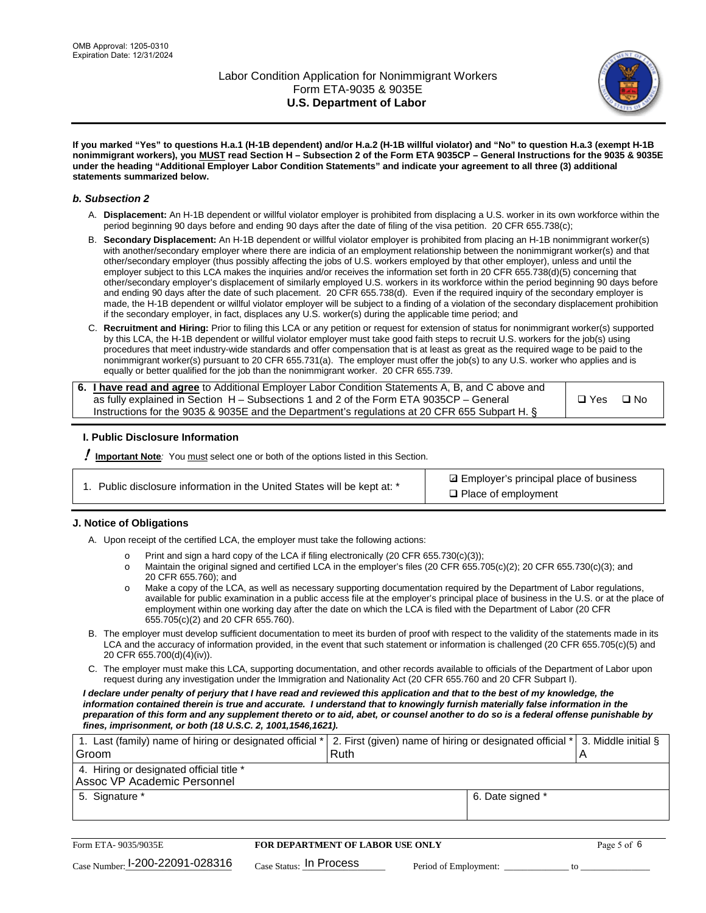

**If you marked "Yes" to questions H.a.1 (H-1B dependent) and/or H.a.2 (H-1B willful violator) and "No" to question H.a.3 (exempt H-1B nonimmigrant workers), you MUST read Section H – Subsection 2 of the Form ETA 9035CP – General Instructions for the 9035 & 9035E under the heading "Additional Employer Labor Condition Statements" and indicate your agreement to all three (3) additional statements summarized below.**

#### *b. Subsection 2*

- A. **Displacement:** An H-1B dependent or willful violator employer is prohibited from displacing a U.S. worker in its own workforce within the period beginning 90 days before and ending 90 days after the date of filing of the visa petition. 20 CFR 655.738(c);
- B. **Secondary Displacement:** An H-1B dependent or willful violator employer is prohibited from placing an H-1B nonimmigrant worker(s) with another/secondary employer where there are indicia of an employment relationship between the nonimmigrant worker(s) and that other/secondary employer (thus possibly affecting the jobs of U.S. workers employed by that other employer), unless and until the employer subject to this LCA makes the inquiries and/or receives the information set forth in 20 CFR 655.738(d)(5) concerning that other/secondary employer's displacement of similarly employed U.S. workers in its workforce within the period beginning 90 days before and ending 90 days after the date of such placement. 20 CFR 655.738(d). Even if the required inquiry of the secondary employer is made, the H-1B dependent or willful violator employer will be subject to a finding of a violation of the secondary displacement prohibition if the secondary employer, in fact, displaces any U.S. worker(s) during the applicable time period; and
- C. **Recruitment and Hiring:** Prior to filing this LCA or any petition or request for extension of status for nonimmigrant worker(s) supported by this LCA, the H-1B dependent or willful violator employer must take good faith steps to recruit U.S. workers for the job(s) using procedures that meet industry-wide standards and offer compensation that is at least as great as the required wage to be paid to the nonimmigrant worker(s) pursuant to 20 CFR 655.731(a). The employer must offer the job(s) to any U.S. worker who applies and is equally or better qualified for the job than the nonimmigrant worker. 20 CFR 655.739.

| 6. I have read and agree to Additional Employer Labor Condition Statements A, B, and C above and |       |           |
|--------------------------------------------------------------------------------------------------|-------|-----------|
| as fully explained in Section H – Subsections 1 and 2 of the Form ETA 9035CP – General           | □ Yes | $\Box$ No |
| Instructions for the 9035 & 9035 E and the Department's regulations at 20 CFR 655 Subpart H. §   |       |           |

#### **I. Public Disclosure Information**

! **Important Note***:* You must select one or both of the options listed in this Section.

**sqrt** Employer's principal place of business □ Place of employment

#### **J. Notice of Obligations**

A. Upon receipt of the certified LCA, the employer must take the following actions:

- o Print and sign a hard copy of the LCA if filing electronically (20 CFR 655.730(c)(3));<br>
Maintain the original signed and certified LCA in the employer's files (20 CFR 655.7
- Maintain the original signed and certified LCA in the employer's files (20 CFR 655.705(c)(2); 20 CFR 655.730(c)(3); and 20 CFR 655.760); and
- o Make a copy of the LCA, as well as necessary supporting documentation required by the Department of Labor regulations, available for public examination in a public access file at the employer's principal place of business in the U.S. or at the place of employment within one working day after the date on which the LCA is filed with the Department of Labor (20 CFR 655.705(c)(2) and 20 CFR 655.760).
- B. The employer must develop sufficient documentation to meet its burden of proof with respect to the validity of the statements made in its LCA and the accuracy of information provided, in the event that such statement or information is challenged (20 CFR 655.705(c)(5) and 20 CFR 655.700(d)(4)(iv)).
- C. The employer must make this LCA, supporting documentation, and other records available to officials of the Department of Labor upon request during any investigation under the Immigration and Nationality Act (20 CFR 655.760 and 20 CFR Subpart I).

*I declare under penalty of perjury that I have read and reviewed this application and that to the best of my knowledge, the*  information contained therein is true and accurate. I understand that to knowingly furnish materially false information in the *preparation of this form and any supplement thereto or to aid, abet, or counsel another to do so is a federal offense punishable by fines, imprisonment, or both (18 U.S.C. 2, 1001,1546,1621).*

| 1. Last (family) name of hiring or designated official * 2. First (given) name of hiring or designated official * 3. Middle initial § |  |
|---------------------------------------------------------------------------------------------------------------------------------------|--|
| Ruth                                                                                                                                  |  |
|                                                                                                                                       |  |
| 6. Date signed *                                                                                                                      |  |
|                                                                                                                                       |  |